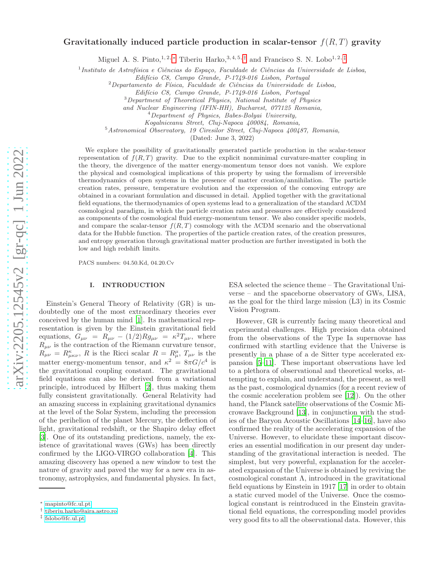# Gravitationally induced particle production in scalar-tensor  $f(R,T)$  gravity

Miguel A. S. Pinto,<sup>1,2,\*</sup> Tiberiu Harko,<sup>3,4,5,[†](#page-0-1)</sup> and Francisco S. N. Lobo<sup>1,2,[‡](#page-0-2)</sup>

1 *Instituto de Astrof´ısica e Ciˆencias do Espa¸co, Faculdade de Ciˆencias da Universidade de Lisboa,*

*Edif´ıcio C8, Campo Grande, P-1749-016 Lisbon, Portugal*

<sup>2</sup>*Departamento de F´ısica, Faculdade de Ciˆencias da Universidade de Lisboa,*

*Edif´ıcio C8, Campo Grande, P-1749-016 Lisbon, Portugal*

<sup>3</sup>*Department of Theoretical Physics, National Institute of Physics*

*and Nuclear Engineering (IFIN-HH), Bucharest, 077125 Romania,*

<sup>5</sup>*Astronomical Observatory, 19 Ciresilor Street, Cluj-Napoca 400487, Romania,*

(Dated: June 3, 2022)

We explore the possibility of gravitationally generated particle production in the scalar-tensor representation of  $f(R,T)$  gravity. Due to the explicit nonminimal curvature-matter coupling in the theory, the divergence of the matter energy-momentum tensor does not vanish. We explore the physical and cosmological implications of this property by using the formalism of irreversible thermodynamics of open systems in the presence of matter creation/annihilation. The particle creation rates, pressure, temperature evolution and the expression of the comoving entropy are obtained in a covariant formulation and discussed in detail. Applied together with the gravitational field equations, the thermodynamics of open systems lead to a generalization of the standard ΛCDM cosmological paradigm, in which the particle creation rates and pressures are effectively considered as components of the cosmological fluid energy-momentum tensor. We also consider specific models, and compare the scalar-tensor  $f(R,T)$  cosmology with the  $\Lambda$ CDM scenario and the observational data for the Hubble function. The properties of the particle creation rates, of the creation pressures, and entropy generation through gravitational matter production are further investigated in both the low and high redshift limits.

PACS numbers: 04.50.Kd, 04.20.Cv

# I. INTRODUCTION

Einstein's General Theory of Relativity (GR) is undoubtedly one of the most extraordinary theories ever conceived by the human mind [\[1](#page-14-0)]. Its mathematical representation is given by the Einstein gravitational field equations,  $G_{\mu\nu} = R_{\mu\nu} - (1/2)Rg_{\mu\nu} = \kappa^2 T_{\mu\nu}$ , where  $R_{\mu\nu}$  is the contraction of the Riemann curvature tensor,  $R_{\mu\nu} = R^{\kappa}_{\mu\kappa\nu}, R$  is the Ricci scalar  $R = R^{\mu}_{\mu}, T_{\mu\nu}$  is the matter energy-momentum tensor, and  $\kappa^2 = 8\pi G/c^4$  is the gravitational coupling constant. The gravitational field equations can also be derived from a variational principle, introduced by Hilbert [\[2\]](#page-14-1), thus making them fully consistent gravitationally. General Relativity had an amazing success in explaining gravitational dynamics at the level of the Solar System, including the precession of the perihelion of the planet Mercury, the deflection of light, gravitational redshift, or the Shapiro delay effect [\[3\]](#page-14-2). One of its outstanding predictions, namely, the existence of gravitational waves (GWs) has been directly confirmed by the LIGO-VIRGO collaboration [\[4\]](#page-14-3). This amazing discovery has opened a new window to test the nature of gravity and paved the way for a new era in astronomy, astrophysics, and fundamental physics. In fact,

ESA selected the science theme – The Gravitational Universe – and the spaceborne observatory of GWs, LISA, as the goal for the third large mission (L3) in its Cosmic Vision Program.

However, GR is currently facing many theoretical and experimental challenges. High precision data obtained from the observations of the Type Ia supernovae has confirmed with startling evidence that the Universe is presently in a phase of a de Sitter type accelerated expansion [\[5](#page-14-4)[–11](#page-14-5)]. These important observations have led to a plethora of observational and theoretical works, attempting to explain, and understand, the present, as well as the past, cosmological dynamics (for a recent review of the cosmic acceleration problem see [\[12](#page-14-6)]). On the other hand, the Planck satellite observations of the Cosmic Microwave Background [\[13](#page-14-7)], in conjunction with the studies of the Baryon Acoustic Oscillations [\[14](#page-14-8)[–16\]](#page-14-9), have also confirmed the reality of the accelerating expansion of the Universe. However, to elucidate these important discoveries an essential modification in our present day understanding of the gravitational interaction is needed. The simplest, but very powerful, explanation for the accelerated expansion of the Universe is obtained by reviving the cosmological constant Λ, introduced in the gravitational field equations by Einstein in 1917 [\[17\]](#page-14-10) in order to obtain a static curved model of the Universe. Once the cosmological constant is reintroduced in the Einstein gravitational field equations, the corresponding model provides very good fits to all the observational data. However, this

<sup>4</sup>*Department of Physics, Babes-Bolyai University,*

*Kogalniceanu Street, Cluj-Napoca 400084, Romania,*

<span id="page-0-0"></span><sup>∗</sup> [mapinto@fc.ul.pt](mailto:mapinto@fc.ul.pt)

<span id="page-0-1"></span><sup>†</sup> [tiberiu.harko@aira.astro.ro](mailto:tiberiu.harko@aira.astro.ro)

<span id="page-0-2"></span><sup>‡</sup> [fslobo@fc.ul.pt](mailto:fslobo@fc.ul.pt)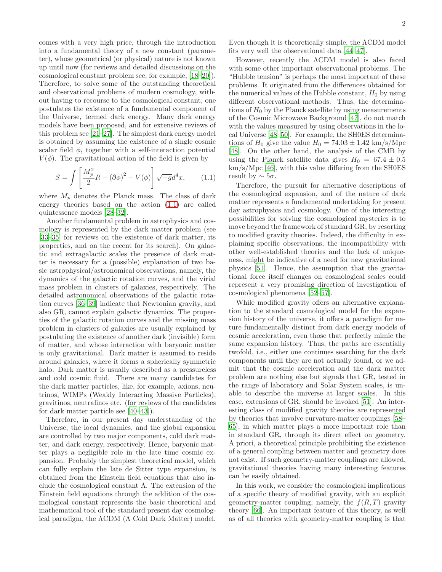comes with a very high price, through the introduction into a fundamental theory of a new constant (parameter), whose geometrical (or physical) nature is not known up until now (for reviews and detailed discussions on the cosmological constant problem see, for example, [\[18](#page-14-11)[–20\]](#page-14-12)). Therefore, to solve some of the outstanding theoretical and observational problems of modern cosmology, without having to recourse to the cosmological constant, one postulates the existence of a fundamental component of the Universe, termed dark energy. Many dark energy models have been proposed, and for extensive reviews of this problem see [\[21](#page-14-13)[–27\]](#page-14-14). The simplest dark energy model is obtained by assuming the existence of a single cosmic scalar field  $\phi$ , together with a self-interaction potential  $V(\phi)$ . The gravitational action of the field is given by

<span id="page-1-0"></span>
$$
S = \int \left[ \frac{M_p^2}{2} R - (\partial \phi)^2 - V(\phi) \right] \sqrt{-g} d^4 x, \qquad (1.1)
$$

where  $M_p$  denotes the Planck mass. The class of dark energy theories based on the action [\(1.1\)](#page-1-0) are called quintessence models [\[28](#page-14-15)[–32\]](#page-14-16).

Another fundamental problem in astrophysics and cosmology is represented by the dark matter problem (see [\[33](#page-14-17)[–35\]](#page-14-18) for reviews on the existence of dark matter, its properties, and on the recent for its search). On galactic and extragalactic scales the presence of dark matter is necessary for a (possible) explanation of two basic astrophysical/astronomical observations, namely, the dynamics of the galactic rotation curves, and the virial mass problem in clusters of galaxies, respectively. The detailed astronomical observations of the galactic rotation curves [\[36–](#page-14-19)[39\]](#page-14-20) indicate that Newtonian gravity, and also GR, cannot explain galactic dynamics. The properties of the galactic rotation curves and the missing mass problem in clusters of galaxies are usually explained by postulating the existence of another dark (invisible) form of matter, and whose interaction with baryonic matter is only gravitational. Dark matter is assumed to reside around galaxies, where it forms a spherically symmetric halo. Dark matter is usually described as a pressureless and cold cosmic fluid. There are many candidates for the dark matter particles, like, for example, axions, neutrinos, WIMPs (Weakly Interacting Massive Particles), gravitinos, neutralinos etc. (for reviews of the candidates for dark matter particle see [\[40](#page-14-21)[–43\]](#page-14-22)).

Therefore, in our present day understanding of the Universe, the local dynamics, and the global expansion are controlled by two major components, cold dark matter, and dark energy, respectively. Hence, baryonic matter plays a negligible role in the late time cosmic expansion. Probably the simplest theoretical model, which can fully explain the late de Sitter type expansion, is obtained from the Einstein field equations that also include the cosmological constant  $\Lambda$ . The extension of the Einstein field equations through the addition of the cosmological constant represents the basic theoretical and mathematical tool of the standard present day cosmological paradigm, the ΛCDM (Λ Cold Dark Matter) model.

Even though it is theoretically simple, the ΛCDM model fits very well the observational data [\[44](#page-14-23)[–47\]](#page-14-24).

However, recently the ΛCDM model is also faced with some other important observational problems. The "Hubble tension" is perhaps the most important of these problems. It originated from the differences obtained for the numerical values of the Hubble constant,  $H_0$  by using different observational methods. Thus, the determinations of  $H_0$  by the Planck satellite by using measurements of the Cosmic Microwave Background [\[47\]](#page-14-24), do not match with the values measured by using observations in the local Universe [\[48](#page-14-25)[–50\]](#page-14-26). For example, the SH0ES determinations of  $H_0$  give the value  $H_0 = 74.03 \pm 1.42$  km/s/Mpc [\[48\]](#page-14-25). On the other hand, the analysis of the CMB by using the Planck satellite data gives  $H_0 = 67.4 \pm 0.5$ km/s/Mpc [\[46](#page-14-27)], with this value differing from the SH0ES result by  $\sim 5\sigma$ .

Therefore, the pursuit for alternative descriptions of the cosmological expansion, and of the nature of dark matter represents a fundamental undertaking for present day astrophysics and cosmology. One of the interesting possibilities for solving the cosmological mysteries is to move beyond the framework of standard GR, by resorting to modified gravity theories. Indeed, the difficulty in explaining specific observations, the incompatibility with other well-established theories and the lack of uniqueness, might be indicative of a need for new gravitational physics [\[51\]](#page-14-28). Hence, the assumption that the gravitational force itself changes on cosmological scales could represent a very promising direction of investigation of cosmological phenomena [\[52](#page-14-29)[–57\]](#page-15-0).

While modified gravity offers an alternative explanation to the standard cosmological model for the expansion history of the universe, it offers a paradigm for nature fundamentally distinct from dark energy models of cosmic acceleration, even those that perfectly mimic the same expansion history. Thus, the paths are essentially twofold, i.e., either one continues searching for the dark components until they are not actually found, or we admit that the cosmic acceleration and the dark matter problem are nothing else but signals that GR, tested in the range of laboratory and Solar System scales, is unable to describe the universe at larger scales. In this case, extensions of GR, should be invoked [\[51\]](#page-14-28). An interesting class of modified gravity theories are represented by theories that involve curvature-matter couplings [\[58](#page-15-1)– [65](#page-15-2)], in which matter plays a more important role than in standard GR, through its direct effect on geometry. A priori, a theoretical principle prohibiting the existence of a general coupling between matter and geometry does not exist. If such geometry-matter couplings are allowed, gravitational theories having many interesting features can be easily obtained.

In this work, we consider the cosmological implications of a specific theory of modified gravity, with an explicit geometry-matter coupling, namely, the  $f(R,T)$  gravity theory [\[66](#page-15-3)]. An important feature of this theory, as well as of all theories with geometry-matter coupling is that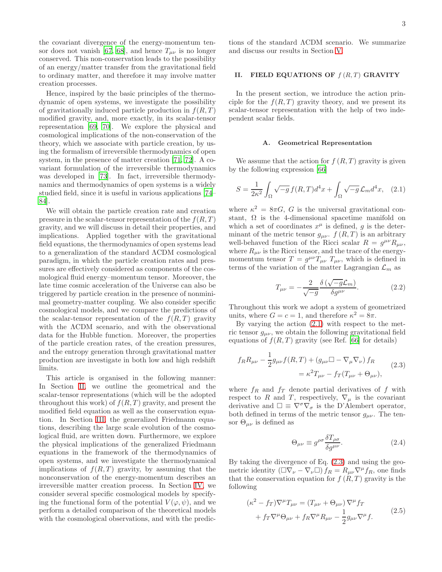the covariant divergence of the energy-momentum ten-sor does not vanish [\[67](#page-15-4), [68\]](#page-15-5), and hence  $T_{\mu\nu}$  is no longer conserved. This non-conservation leads to the possibility of an energy/matter transfer from the gravitational field to ordinary matter, and therefore it may involve matter creation processes.

Hence, inspired by the basic principles of the thermodynamic of open systems, we investigate the possibility of gravitationally induced particle production in  $f(R,T)$ modified gravity, and, more exactly, in its scalar-tensor representation [\[69,](#page-15-6) [70\]](#page-15-7). We explore the physical and cosmological implications of the non-conservation of the theory, which we associate with particle creation, by using the formalism of irreversible thermodynamics of open system, in the presence of matter creation [\[71,](#page-15-8) [72](#page-15-9)]. A covariant formulation of the irreversible thermodynamics was developed in [\[73](#page-15-10)]. In fact, irreversible thermodynamics and thermodynamics of open systems is a widely studied field, since it is useful in various applications [\[74](#page-15-11)– [84\]](#page-15-12).

We will obtain the particle creation rate and creation pressure in the scalar-tensor representation of the  $f(R,T)$ gravity, and we will discuss in detail their properties, and implications. Applied together with the gravitational field equations, the thermodynamics of open systems lead to a generalization of the standard ΛCDM cosmological paradigm, in which the particle creation rates and pressures are effectively considered as components of the cosmological fluid energy–momentum tensor. Moreover, the late time cosmic acceleration of the Universe can also be triggered by particle creation in the presence of nonminimal geometry-matter coupling. We also consider specific cosmological models, and we compare the predictions of the scalar-tensor representation of the  $f(R,T)$  gravity with the ΛCDM scenario, and with the observational data for the Hubble function. Moreover, the properties of the particle creation rates, of the creation pressures, and the entropy generation through gravitational matter production are investigate in both low and high redshift limits.

This article is organised in the following manner: In Section [II,](#page-2-0) we outline the geometrical and the scalar-tensor representations (which will be the adopted throughout this work) of  $f(R, T)$  gravity, and present the modified field equation as well as the conservation equation. In Section [III,](#page-3-0) the generalized Friedmann equations, describing the large scale evolution of the cosmological fluid, are written down. Furthermore, we explore the physical implications of the generalized Friedmann equations in the framework of the thermodynamics of open systems, and we investigate the thermodynamical implications of  $f(R, T)$  gravity, by assuming that the nonconservation of the energy-momentum describes an irreversible matter creation process. In Section [IV,](#page-7-0) we consider several specific cosmological models by specifying the functional form of the potential  $V(\varphi, \psi)$ , and we perform a detailed comparison of the theoretical models with the cosmological observations, and with the predic3

tions of the standard ΛCDM scenario. We summarize and discuss our results in Section [V.](#page-12-0)

# <span id="page-2-0"></span>II. FIELD EQUATIONS OF  $f(R,T)$  GRAVITY

In the present section, we introduce the action principle for the  $f(R, T)$  gravity theory, and we present its scalar-tensor representation with the help of two independent scalar fields.

## A. Geometrical Representation

We assume that the action for  $f(R,T)$  gravity is given by the following expression [\[66\]](#page-15-3)

<span id="page-2-1"></span>
$$
S = \frac{1}{2\kappa^2} \int_{\Omega} \sqrt{-g} f(R, T) d^4 x + \int_{\Omega} \sqrt{-g} \mathcal{L}_m d^4 x, \quad (2.1)
$$

where  $\kappa^2 = 8\pi G$ , G is the universal gravitational constant,  $\Omega$  is the 4-dimensional spacetime manifold on which a set of coordinates  $x^{\mu}$  is defined, g is the determinant of the metric tensor  $g_{\mu\nu}$ .  $f(R,T)$  is an arbitrary well-behaved function of the Ricci scalar  $R = g^{\mu\nu} R_{\mu\nu}$ , where  $R_{\mu\nu}$  is the Ricci tensor, and the trace of the energymomentum tensor  $T = g^{\mu\nu} T_{\mu\nu} T_{\mu\nu}$ , which is defined in terms of the variation of the matter Lagrangian  $\mathcal{L}_m$  as

$$
T_{\mu\nu} = -\frac{2}{\sqrt{-g}} \frac{\delta\left(\sqrt{-g}\mathcal{L}_m\right)}{\delta g^{\mu\nu}}.
$$
 (2.2)

Throughout this work we adopt a system of geometrized units, where  $G = c = 1$ , and therefore  $\kappa^2 = 8\pi$ .

By varying the action [\(2.1\)](#page-2-1) with respect to the metric tensor  $g_{\mu\nu}$ , we obtain the following gravitational field equations of  $f(R, T)$  gravity (see Ref. [\[66\]](#page-15-3) for details)

<span id="page-2-2"></span>
$$
f_R R_{\mu\nu} - \frac{1}{2} g_{\mu\nu} f(R, T) + (g_{\mu\nu} \Box - \nabla_{\mu} \nabla_{\nu}) f_R
$$
  
=  $\kappa^2 T_{\mu\nu} - f_T (T_{\mu\nu} + \Theta_{\mu\nu}),$  (2.3)

where  $f_R$  and  $f_T$  denote partial derivatives of f with respect to R and T, respectively,  $\nabla_{\mu}$  is the covariant derivative and  $\Box \equiv \nabla^{\sigma} \nabla_{\sigma}$  is the D'Alembert operator, both defined in terms of the metric tensor  $g_{\mu\nu}$ . The tensor  $\Theta_{\mu\nu}$  is defined as

$$
\Theta_{\mu\nu} \equiv g^{\rho\sigma} \frac{\delta T_{\rho\sigma}}{\delta g^{\mu\nu}}.
$$
\n(2.4)

By taking the divergence of Eq. [\(2.3\)](#page-2-2) and using the geometric identity  $(\Box \nabla_{\nu} - \nabla_{\nu} \Box) f_R = R_{\mu\nu} \nabla^{\mu} f_R$ , one finds that the conservation equation for  $f(R,T)$  gravity is the following

$$
(\kappa^2 - f_T)\nabla^\mu T_{\mu\nu} = (T_{\mu\nu} + \Theta_{\mu\nu})\nabla^\mu f_T
$$
  
+  $f_T \nabla^\mu \Theta_{\mu\nu} + f_R \nabla^\mu R_{\mu\nu} - \frac{1}{2}g_{\mu\nu}\nabla^\mu f.$  (2.5)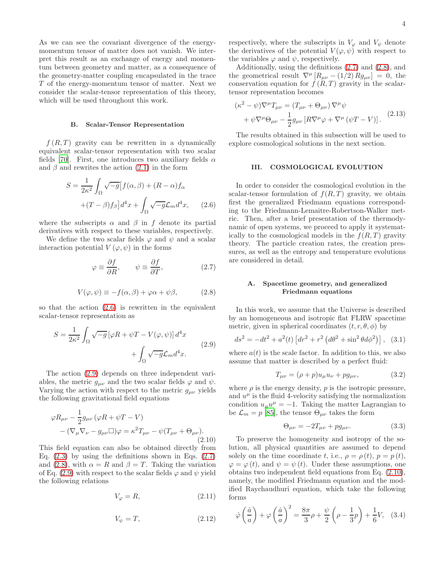As we can see the covariant divergence of the energymomentum tensor of matter does not vanish. We interpret this result as an exchange of energy and momentum between geometry and matter, as a consequence of the geometry-matter coupling encapsulated in the trace T of the energy-momentum tensor of matter. Next we consider the scalar-tensor representation of this theory, which will be used throughout this work.

#### B. Scalar-Tensor Representation

 $f(R,T)$  gravity can be rewritten in a dynamically equivalent scalar-tensor representation with two scalar fields [\[70](#page-15-7)]. First, one introduces two auxiliary fields  $\alpha$ and  $\beta$  and rewrites the action [\(2.1\)](#page-2-1) in the form

<span id="page-3-1"></span>
$$
S = \frac{1}{2\kappa^2} \int_{\Omega} \sqrt{-g} \left[ f(\alpha, \beta) + (R - \alpha) f_{\alpha} \right]
$$

$$
+ (T - \beta) f_{\beta} \right] d^4 x + \int_{\Omega} \sqrt{-g} \mathcal{L}_m d^4 x, \qquad (2.6)
$$

where the subscripts  $\alpha$  and  $\beta$  in f denote its partial derivatives with respect to these variables, respectively.

We define the two scalar fields  $\varphi$  and  $\psi$  and a scalar interaction potential  $V(\varphi, \psi)$  in the forms

<span id="page-3-3"></span>
$$
\varphi \equiv \frac{\partial f}{\partial R}, \qquad \psi \equiv \frac{\partial f}{\partial T}, \tag{2.7}
$$

<span id="page-3-4"></span>
$$
V(\varphi, \psi) \equiv -f(\alpha, \beta) + \varphi \alpha + \psi \beta, \qquad (2.8)
$$

so that the action  $(2.6)$  is rewritten in the equivalent scalar-tensor representation as

<span id="page-3-2"></span>
$$
S = \frac{1}{2\kappa^2} \int_{\Omega} \sqrt{-g} \left[ \varphi R + \psi T - V(\varphi, \psi) \right] d^4 x + \int_{\Omega} \sqrt{-g} \mathcal{L}_m d^4 x.
$$
 (2.9)

The action [\(2.9\)](#page-3-2) depends on three independent variables, the metric  $g_{\mu\nu}$  and the two scalar fields  $\varphi$  and  $\psi$ . Varying the action with respect to the metric  $g_{\mu\nu}$  yields the following gravitational field equations

<span id="page-3-5"></span>
$$
\varphi R_{\mu\nu} - \frac{1}{2} g_{\mu\nu} (\varphi R + \psi T - V)
$$
  
–  $(\nabla_{\mu} \nabla_{\nu} - g_{\mu\nu} \square) \varphi = \kappa^2 T_{\mu\nu} - \psi (T_{\mu\nu} + \Theta_{\mu\nu}).$  (2.10)

This field equation can also be obtained directly from Eq.  $(2.3)$  by using the definitions shown in Eqs.  $(2.7)$ and [\(2.8\)](#page-3-4), with  $\alpha = R$  and  $\beta = T$ . Taking the variation of Eq. [\(2.9\)](#page-3-2) with respect to the scalar fields  $\varphi$  and  $\psi$  yield the following relations

<span id="page-3-6"></span>
$$
V_{\varphi} = R, \tag{2.11}
$$

<span id="page-3-7"></span>
$$
V_{\psi} = T, \tag{2.12}
$$

respectively, where the subscripts in  $V_{\varphi}$  and  $V_{\psi}$  denote the derivatives of the potential  $V(\varphi, \psi)$  with respect to the variables  $\varphi$  and  $\psi$ , respectively.

Additionally, using the definitions [\(2.7\)](#page-3-3) and [\(2.8\)](#page-3-4), and the geometrical result  $\nabla^{\mu} [R_{\mu\nu} - (1/2) R g_{\mu\nu}] = 0$ , the conservation equation for  $f(R,T)$  gravity in the scalartensor representation becomes

<span id="page-3-8"></span>
$$
(\kappa^2 - \psi)\nabla^{\mu}T_{\mu\nu} = (T_{\mu\nu} + \Theta_{\mu\nu})\nabla^{\mu}\psi + \psi\nabla^{\mu}\Theta_{\mu\nu} - \frac{1}{2}g_{\mu\nu}[R\nabla^{\mu}\varphi + \nabla^{\mu}(\psi T - V)].
$$
 (2.13)

The results obtained in this subsection will be used to explore cosmological solutions in the next section.

## <span id="page-3-0"></span>III. COSMOLOGICAL EVOLUTION

In order to consider the cosmological evolution in the scalar-tensor formulation of  $f(R,T)$  gravity, we obtain first the generalized Friedmann equations corresponding to the Friedmann-Lemaitre-Robertson-Walker metric. Then, after a brief presentation of the thermodynamic of open systems, we proceed to apply it systematically to the cosmological models in the  $f(R,T)$  gravity theory. The particle creation rates, the creation pressures, as well as the entropy and temperature evolutions are considered in detail.

# A. Spacetime geometry, and generalized Friedmann equations

In this work, we assume that the Universe is described by an homogeneous and isotropic flat FLRW spacetime metric, given in spherical coordinates  $(t, r, \theta, \phi)$  by

<span id="page-3-10"></span>
$$
ds^{2} = -dt^{2} + a^{2}(t) \left[ dr^{2} + r^{2} \left( d\theta^{2} + \sin^{2} \theta d\phi^{2} \right) \right], (3.1)
$$

where  $a(t)$  is the scale factor. In addition to this, we also assume that matter is described by a perfect fluid:

$$
T_{\mu\nu} = (\rho + p)u_{\mu}u_{\nu} + pg_{\mu\nu},
$$
\n(3.2)

where  $\rho$  is the energy density,  $p$  is the isotropic pressure, and  $u^{\mu}$  is the fluid 4-velocity satisfying the normalization condition  $u_{\mu}u^{\mu} = -1$ . Taking the matter Lagrangian to be  $\mathcal{L}_m = p$  [\[85](#page-15-13)], the tensor  $\Theta_{\mu\nu}$  takes the form

$$
\Theta_{\mu\nu} = -2T_{\mu\nu} + pg_{\mu\nu}.\tag{3.3}
$$

To preserve the homogeneity and isotropy of the solution, all physical quantities are assumed to depend solely on the time coordinate t, i.e.,  $\rho = \rho(t)$ ,  $p = p(t)$ ,  $\varphi = \varphi(t)$ , and  $\psi = \psi(t)$ . Under these assumptions, one obtains two independent field equations from Eq. [\(2.10\)](#page-3-5), namely, the modified Friedmann equation and the modified Raychaudhuri equation, which take the following forms

<span id="page-3-9"></span>
$$
\dot{\varphi}\left(\frac{\dot{a}}{a}\right) + \varphi\left(\frac{\dot{a}}{a}\right)^2 = \frac{8\pi}{3}\rho + \frac{\psi}{2}\left(\rho - \frac{1}{3}p\right) + \frac{1}{6}V,\quad(3.4)
$$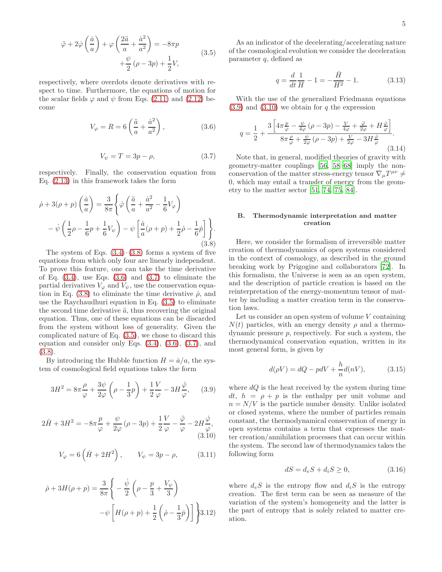<span id="page-4-3"></span>
$$
\ddot{\varphi} + 2\dot{\varphi}\left(\frac{\dot{a}}{a}\right) + \varphi\left(\frac{2\ddot{a}}{a} + \frac{\dot{a}^2}{a^2}\right) = -8\pi p
$$
  
 
$$
+\frac{\psi}{2}(\rho - 3p) + \frac{1}{2}V,
$$
 (3.5)

respectively, where overdots denote derivatives with respect to time. Furthermore, the equations of motion for the scalar fields  $\varphi$  and  $\psi$  from Eqs. [\(2.11\)](#page-3-6) and [\(2.12\)](#page-3-7) become

<span id="page-4-1"></span>
$$
V_{\varphi} = R = 6\left(\frac{\ddot{a}}{a} + \frac{\dot{a}^2}{a^2}\right),\tag{3.6}
$$

<span id="page-4-2"></span>
$$
V_{\psi} = T = 3p - \rho,\tag{3.7}
$$

respectively. Finally, the conservation equation from Eq. [\(2.13\)](#page-3-8) in this framework takes the form

<span id="page-4-0"></span>
$$
\dot{\rho} + 3(\rho + p) \left(\frac{\dot{a}}{a}\right) = \frac{3}{8\pi} \left\{ \dot{\varphi} \left(\frac{\ddot{a}}{a} + \frac{\dot{a}^2}{a^2} - \frac{1}{6}V_{\varphi} \right) - \dot{\psi} \left(\frac{1}{2}\rho - \frac{1}{6}p + \frac{1}{6}V_{\psi} \right) - \psi \left[\frac{\dot{a}}{a}(\rho + p) + \frac{1}{2}\dot{\rho} - \frac{1}{6}\dot{p}\right] \right\}.
$$
\n(3.8)

The system of Eqs.  $(3.4)$ – $(3.8)$  forms a system of five equations from which only four are linearly independent. To prove this feature, one can take the time derivative of Eq.  $(3.4)$ , use Eqs.  $(3.6)$  and  $(3.7)$  to eliminate the partial derivatives  $V_{\varphi}$  and  $V_{\psi}$ , use the conservation equa-tion in Eq. [\(3.8\)](#page-4-0) to eliminate the time derivative  $\dot{\rho}$ , and use the Raychaudhuri equation in Eq. [\(3.5\)](#page-4-3) to eliminate the second time derivative  $\ddot{a}$ , thus recovering the original equation. Thus, one of these equations can be discarded from the system without loss of generality. Given the complicated nature of Eq. [\(3.5\)](#page-4-3), we chose to discard this equation and consider only Eqs. [\(3.4\)](#page-3-9), [\(3.6\)](#page-4-1), [\(3.7\)](#page-4-2), and [\(3.8\)](#page-4-0).

By introducing the Hubble function  $H = \dot{a}/a$ , the system of cosmological field equations takes the form

<span id="page-4-4"></span>
$$
3H^2 = 8\pi \frac{\rho}{\varphi} + \frac{3\psi}{2\varphi} \left(\rho - \frac{1}{3}p\right) + \frac{1}{2}\frac{V}{\varphi} - 3H\frac{\dot{\varphi}}{\varphi},\qquad(3.9)
$$

<span id="page-4-5"></span>
$$
2\dot{H} + 3H^2 = -8\pi \frac{p}{\varphi} + \frac{\psi}{2\varphi} (\rho - 3p) + \frac{1}{2} \frac{V}{\varphi} - \frac{\ddot{\varphi}}{\varphi} - 2H \frac{\dot{\varphi}}{\varphi},
$$
\n(3.10)

<span id="page-4-8"></span>
$$
V_{\varphi} = 6\left(\dot{H} + 2H^2\right), \qquad V_{\psi} = 3p - \rho, \tag{3.11}
$$

<span id="page-4-9"></span>
$$
\dot{\rho} + 3H(\rho + p) = \frac{3}{8\pi} \left\{ -\frac{\dot{\psi}}{2} \left( \rho - \frac{p}{3} + \frac{V_{\psi}}{3} \right) -\psi \left[ H(\rho + p) + \frac{1}{2} \left( \dot{\rho} - \frac{1}{3} \dot{p} \right) \right] \right\} 3.12
$$

As an indicator of the decelerating/accelerating nature of the cosmological evolution we consider the deceleration parameter q, defined as

$$
q = \frac{d}{dt} \frac{1}{H} - 1 = -\frac{\dot{H}}{H^2} - 1.
$$
 (3.13)

With the use of the generalized Friedmann equations  $(3.9)$  and  $(3.10)$  we obtain for q the expression

$$
q = \frac{1}{2} + \frac{3\left[4\pi\frac{p}{\varphi} - \frac{\psi}{4\varphi}\left(\rho - 3p\right) - \frac{V}{4\varphi} + \frac{\ddot{\varphi}}{2\varphi} + H\frac{\dot{\varphi}}{\varphi}\right]}{8\pi\frac{p}{\varphi} + \frac{\psi}{2\varphi}\left(\rho - 3p\right) + \frac{V}{2\varphi} - 3H\frac{\dot{\varphi}}{\varphi}}.
$$
\n(3.14)

Note that, in general, modified theories of gravity with geometry-matter couplings [\[56](#page-15-14), [58](#page-15-1)[–68](#page-15-5)] imply the nonconservation of the matter stress-energy tensor  $\nabla_{\mu}T^{\mu\nu}\neq$ 0, which may entail a transfer of energy from the geometry to the matter sector [\[51](#page-14-28), [74,](#page-15-11) [75,](#page-15-15) [84\]](#page-15-12).

# B. Thermodynamic interpretation and matter creation

Here, we consider the formalism of irreversible matter creation of thermodynamics of open systems considered in the context of cosmology, as described in the ground breaking work by Prigogine and collaborators [\[72\]](#page-15-9). In this formalism, the Universe is seen as an open system, and the description of particle creation is based on the reinterpretation of the energy-momentum tensor of matter by including a matter creation term in the conservation laws.

Let us consider an open system of volume  $V$  containing  $N(t)$  particles, with an energy density  $\rho$  and a thermodynamic pressure p, respectively. For such a system, the thermodynamical conservation equation, written in its most general form, is given by

<span id="page-4-6"></span>
$$
d(\rho V) = dQ - pdV + \frac{h}{n}d(nV), \qquad (3.15)
$$

where  $dQ$  is the heat received by the system during time dt,  $h = \rho + p$  is the enthalpy per unit volume and  $n = N/V$  is the particle number density. Unlike isolated or closed systems, where the number of particles remain constant, the thermodynamical conservation of energy in open systems contains a term that expresses the matter creation/annihilation processes that can occur within the system. The second law of thermodynamics takes the following form

<span id="page-4-7"></span>
$$
dS = d_e S + d_i S \ge 0,\t\t(3.16)
$$

where  $d_eS$  is the entropy flow and  $d_iS$  is the entropy creation. The first term can be seen as measure of the variation of the system's homogeneity and the latter is the part of entropy that is solely related to matter creation.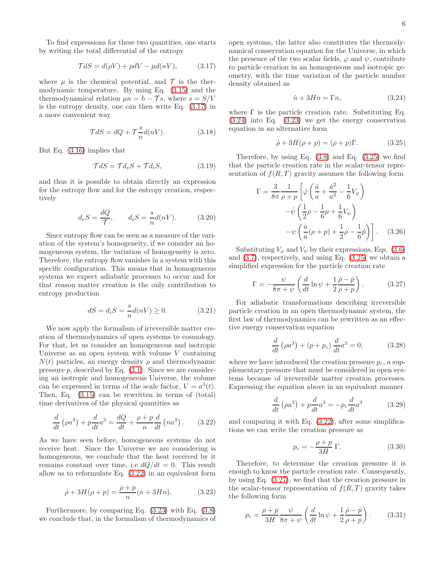To find expressions for these two quantities, one starts by writing the total differential of the entropy

<span id="page-5-0"></span>
$$
\mathcal{T}dS = d(\rho V) + pdV - \mu d(nV), \qquad (3.17)
$$

where  $\mu$  is the chemical potential, and  $\mathcal T$  is the thermodynamic temperature. By using Eq. [\(3.15\)](#page-4-6) and the thermodynamical relation  $\mu n = h - \mathcal{T}s$ , where  $s = S/V$ is the entropy density, one can then write Eq. [\(3.17\)](#page-5-0) in a more convenient way

$$
\mathcal{T}dS = dQ + \mathcal{T}\frac{s}{n}d(nV). \tag{3.18}
$$

But Eq. [\(3.16\)](#page-4-7) implies that

$$
\mathcal{T}dS = \mathcal{T}d_eS + \mathcal{T}d_iS,\tag{3.19}
$$

and thus it is possible to obtain directly an expression for the entropy flow and for the entropy creation, respectively

<span id="page-5-7"></span>
$$
d_e S = \frac{dQ}{\mathcal{T}}, \qquad d_i S = \frac{s}{n} d(nV). \tag{3.20}
$$

Since entropy flow can be seen as a measure of the variation of the system's homogeneity, if we consider an homogeneous system, the variation of homogeneity is zero. Therefore, the entropy flow vanishes in a system with this specific configuration. This means that in homogeneous systems we expect adiabatic processes to occur and for that reason matter creation is the only contribution to entropy production

<span id="page-5-6"></span>
$$
dS = d_i S = \frac{s}{n} d(nV) \ge 0.
$$
 (3.21)

We now apply the formalism of irreversible matter creation of thermodynamics of open systems to cosmology. For that, let us consider an homogeneous and isotropic Universe as an open system with volume  $V$  containing  $N(t)$  particles, an energy density  $\rho$  and thermodynamic pressure  $p$ , described by Eq.  $(3.1)$ . Since we are considering an isotropic and homogeneous Universe, the volume can be expressed in terms of the scale factor,  $V = a^3(t)$ . Then, Eq. [\(3.15\)](#page-4-6) can be rewritten in terms of (total) time derivatives of the physical quantities as

<span id="page-5-1"></span>
$$
\frac{d}{dt}\left(\rho a^3\right) + p\frac{d}{dt}a^3 = \frac{dQ}{dt} + \frac{\rho + p}{n}\frac{d}{dt}\left(na^3\right). \tag{3.22}
$$

As we have seen before, homogeneous systems do not receive heat. Since the Universe we are considering is homogeneous, we conclude that the heat received by it remains constant over time, i.e  $dQ/dt = 0$ . This result allow us to reformulate Eq. [\(3.22\)](#page-5-1) in an equivalent form

<span id="page-5-2"></span>
$$
\dot{\rho} + 3H(\rho + p) = \frac{\rho + p}{n}(\dot{n} + 3Hn). \tag{3.23}
$$

Furthermore, by comparing Eq. [\(3.23\)](#page-5-2) with Eq. [\(3.8\)](#page-4-0) we conclude that, in the formalism of thermodynamics of open systems, the latter also constitutes the thermodynamical conservation equation for the Universe, in which the presence of the two scalar fields,  $\varphi$  and  $\psi$ , contribute to particle creation in an homogeneous and isotropic geometry, with the time variation of the particle number density obtained as

<span id="page-5-3"></span>
$$
\dot{n} + 3Hn = \Gamma n,\tag{3.24}
$$

where  $\Gamma$  is the particle creation rate. Substituting Eq. [\(3.24\)](#page-5-3) into Eq. [\(3.23\)](#page-5-2) we get the energy conservation equation in an alternative form

<span id="page-5-4"></span>
$$
\dot{\rho} + 3H(\rho + p) = (\rho + p)\Gamma.
$$
 (3.25)

Therefore, by using Eq.  $(3.8)$  and Eq.  $(3.25)$  we find that the particle creation rate in the scalar-tensor representation of  $f(R, T)$  gravity assumes the following form

$$
\Gamma = \frac{3}{8\pi} \frac{1}{\rho + p} \left[ \dot{\varphi} \left( \frac{\ddot{a}}{a} + \frac{\dot{a}^2}{a^2} - \frac{1}{6} V_{\varphi} \right) - \dot{\psi} \left( \frac{1}{2} \rho - \frac{1}{6} p + \frac{1}{6} V_{\psi} \right) - \psi \left( \frac{\dot{a}}{a} (\rho + p) + \frac{1}{2} \dot{\rho} - \frac{1}{6} \dot{p} \right) \right].
$$
 (3.26)

Substituting  $V_{\varphi}$  and  $V_{\psi}$  by their expressions, Eqs. [\(3.6\)](#page-4-1) and [\(3.7\)](#page-4-2), respectively, and using Eq. [\(3.25\)](#page-5-4) we obtain a simplified expression for the particle creation rate

<span id="page-5-5"></span>
$$
\Gamma = -\frac{\psi}{8\pi + \psi} \left( \frac{d}{dt} \ln \psi + \frac{1}{2} \frac{\dot{\rho} - \dot{p}}{\rho + p} \right). \tag{3.27}
$$

For adiabatic transformations describing irreversible particle creation in an open thermodynamic system, the first law of thermodynamics can be rewritten as an effective energy conservation equation

$$
\frac{d}{dt} \left( \rho a^3 \right) + \left( p + p_c \right) \frac{d}{dt} a^3 = 0, \tag{3.28}
$$

where we have introduced the creation pressure  $p_c$ , a supplementary pressure that must be considered in open systems because of irreversible matter creation processes. Expressing the equation above in an equivalent manner

$$
\frac{d}{dt}\left(\rho a^3\right) + p\frac{d}{dt}a^3 = -p_c\frac{d}{dt}a^3\tag{3.29}
$$

and comparing it with Eq. [\(3.22\)](#page-5-1), after some simplifications we can write the creation pressure as

$$
p_c = -\frac{\rho + p}{3H} \Gamma.
$$
 (3.30)

Therefore, to determine the creation pressure it is enough to know the particle creation rate. Consequently, by using Eq. [\(3.27\)](#page-5-5), we find that the creation pressure in the scalar-tensor representation of  $f(R,T)$  gravity takes the following form

$$
p_c = \frac{\rho + p}{3H} \frac{\psi}{8\pi + \psi} \left( \frac{d}{dt} \ln \psi + \frac{1}{2} \frac{\dot{\rho} - \dot{p}}{\rho + p} \right). \tag{3.31}
$$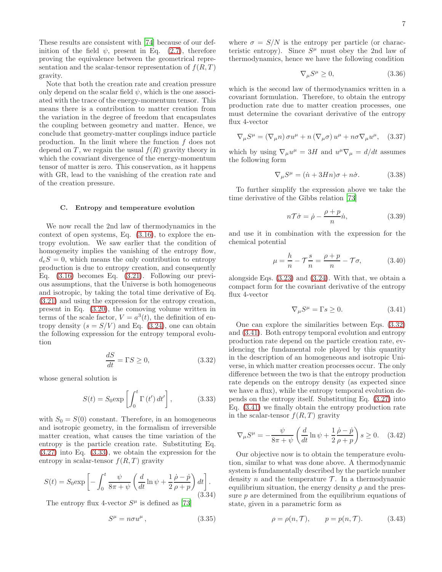These results are consistent with [\[74\]](#page-15-11) because of our definition of the field  $\psi$ , present in Eq. [\(2.7\)](#page-3-3), therefore proving the equivalence between the geometrical representation and the scalar-tensor representation of  $f(R,T)$ gravity.

Note that both the creation rate and creation pressure only depend on the scalar field  $\psi$ , which is the one associated with the trace of the energy-momentum tensor. This means there is a contribution to matter creation from the variation in the degree of freedom that encapsulates the coupling between geometry and matter. Hence, we conclude that geometry-matter couplings induce particle production. In the limit where the function  $f$  does not depend on T, we regain the usual  $f(R)$  gravity theory in which the covariant divergence of the energy-momentum tensor of matter is zero. This conservation, as it happens with GR, lead to the vanishing of the creation rate and of the creation pressure.

#### C. Entropy and temperature evolution

We now recall the 2nd law of thermodynamics in the context of open systems, Eq. [\(3.16\)](#page-4-7), to explore the entropy evolution. We saw earlier that the condition of homogeneity implies the vanishing of the entropy flow,  $d_eS = 0$ , which means the only contribution to entropy production is due to entropy creation, and consequently Eq. [\(3.16\)](#page-4-7) becomes Eq. [\(3.21\)](#page-5-6). Following our previous assumptions, that the Universe is both homogeneous and isotropic, by taking the total time derivative of Eq. [\(3.21\)](#page-5-6) and using the expression for the entropy creation, present in Eq. [\(3.20\)](#page-5-7), the comoving volume written in terms of the scale factor,  $V = a^3(t)$ , the definition of entropy density  $(s = S/V)$  and Eq. [\(3.24\)](#page-5-3), one can obtain the following expression for the entropy temporal evolution

<span id="page-6-1"></span>
$$
\frac{dS}{dt} = \Gamma S \ge 0,\tag{3.32}
$$

whose general solution is

<span id="page-6-0"></span>
$$
S(t) = S_0 \exp\left[\int_0^t \Gamma(t') dt'\right],\tag{3.33}
$$

with  $S_0 = S(0)$  constant. Therefore, in an homogeneous and isotropic geometry, in the formalism of irreversible matter creation, what causes the time variation of the entropy is the particle creation rate. Substituting Eq. [\(3.27\)](#page-5-5) into Eq. [\(3.33\)](#page-6-0), we obtain the expression for the entropy in scalar-tensor  $f(R, T)$  gravity

$$
S(t) = S_0 \exp\left[-\int_0^t \frac{\psi}{8\pi + \psi} \left(\frac{d}{dt} \ln \psi + \frac{1}{2} \frac{\dot{\rho} - \dot{p}}{\rho + p}\right) dt\right].
$$
\n(3.34)

The entropy flux 4-vector  $S^{\mu}$  is defined as [\[73](#page-15-10)]

$$
S^{\mu} = n\sigma u^{\mu} \,, \tag{3.35}
$$

where  $\sigma = S/N$  is the entropy per particle (or characteristic entropy). Since  $S^{\mu}$  must obey the 2nd law of thermodynamics, hence we have the following condition

$$
\nabla_{\mu}S^{\mu} \ge 0, \tag{3.36}
$$

which is the second law of thermodynamics written in a covariant formulation. Therefore, to obtain the entropy production rate due to matter creation processes, one must determine the covariant derivative of the entropy flux 4-vector

$$
\nabla_{\mu}S^{\mu} = (\nabla_{\mu}n)\,\sigma u^{\mu} + n\,(\nabla_{\mu}\sigma)\,u^{\mu} + n\sigma\nabla_{\mu}u^{\mu}, \quad (3.37)
$$

which by using  $\nabla_{\mu}u^{\mu} = 3H$  and  $u^{\mu}\nabla_{\mu} = d/dt$  assumes the following form

$$
\nabla_{\mu}S^{\mu} = (\dot{n} + 3Hn)\sigma + n\dot{\sigma}.
$$
 (3.38)

To further simplify the expression above we take the time derivative of the Gibbs relation [\[73](#page-15-10)]

$$
n\mathcal{T}\dot{\sigma} = \dot{\rho} - \frac{\rho + p}{n}\dot{n},\tag{3.39}
$$

and use it in combination with the expression for the chemical potential

$$
\mu = \frac{h}{n} - \mathcal{T}\frac{s}{n} = \frac{\rho + p}{n} - \mathcal{T}\sigma,\tag{3.40}
$$

alongside Eqs. [\(3.23\)](#page-5-2) and [\(3.24\)](#page-5-3). With that, we obtain a compact form for the covariant derivative of the entropy flux 4-vector

<span id="page-6-2"></span>
$$
\nabla_{\mu}S^{\mu} = \Gamma s \ge 0. \tag{3.41}
$$

One can explore the similarities between Eqs. [\(3.32\)](#page-6-1) and [\(3.41\)](#page-6-2). Both entropy temporal evolution and entropy production rate depend on the particle creation rate, evidencing the fundamental role played by this quantity in the description of an homogeneous and isotropic Universe, in which matter creation processes occur. The only difference between the two is that the entropy production rate depends on the entropy density (as expected since we have a flux), while the entropy temporal evolution depends on the entropy itself. Substituting Eq. [\(3.27\)](#page-5-5) into Eq. [\(3.41\)](#page-6-2) we finally obtain the entropy production rate in the scalar-tensor  $f(R,T)$  gravity

$$
\nabla_{\mu}S^{\mu} = -\frac{\psi}{8\pi + \psi} \left(\frac{d}{dt}\ln\psi + \frac{1}{2}\frac{\dot{\rho} - \dot{p}}{\rho + p}\right)s \ge 0. \quad (3.42)
$$

Our objective now is to obtain the temperature evolution, similar to what was done above. A thermodynamic system is fundamentally described by the particle number density n and the temperature  $\mathcal T$ . In a thermodynamic equilibrium situation, the energy density  $\rho$  and the pressure  $p$  are determined from the equilibrium equations of state, given in a parametric form as

<span id="page-6-3"></span>
$$
\rho = \rho(n, \mathcal{T}), \qquad p = p(n, \mathcal{T}). \tag{3.43}
$$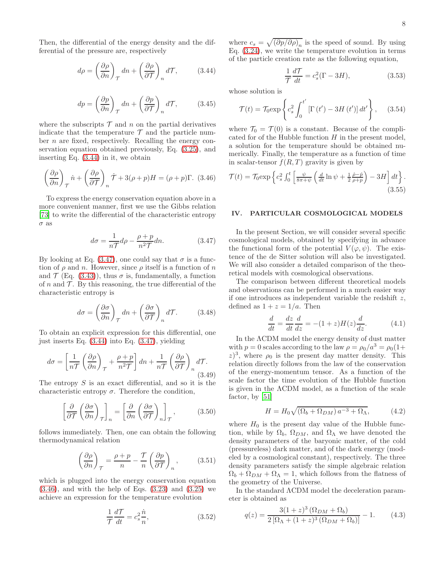Then, the differential of the energy density and the differential of the pressure are, respectively

<span id="page-7-1"></span>
$$
d\rho = \left(\frac{\partial \rho}{\partial n}\right)_{\mathcal{T}} dn + \left(\frac{\partial \rho}{\partial \mathcal{T}}\right)_n d\mathcal{T},\tag{3.44}
$$

$$
dp = \left(\frac{\partial p}{\partial n}\right)_{\mathcal{T}} dn + \left(\frac{\partial p}{\partial \mathcal{T}}\right)_n d\mathcal{T},\qquad(3.45)
$$

where the subscripts  $\mathcal T$  and n on the partial derivatives indicate that the temperature  $\mathcal T$  and the particle number n are fixed, respectively. Recalling the energy conservation equation obtained previously, Eq. [\(3.25\)](#page-5-4), and inserting Eq. [\(3.44\)](#page-7-1) in it, we obtain

<span id="page-7-3"></span>
$$
\left(\frac{\partial \rho}{\partial n}\right)_{\mathcal{T}} \dot{n} + \left(\frac{\partial \rho}{\partial \mathcal{T}}\right)_n \dot{\mathcal{T}} + 3(\rho + p)H = (\rho + p)\Gamma. \tag{3.46}
$$

To express the energy conservation equation above in a more convenient manner, first we use the Gibbs relation [\[73\]](#page-15-10) to write the differential of the characteristic entropy  $\sigma$  as

<span id="page-7-2"></span>
$$
d\sigma = \frac{1}{n\mathcal{T}}d\rho - \frac{\rho + p}{n^2\mathcal{T}}dn.
$$
 (3.47)

By looking at Eq. [\(3.47\)](#page-7-2), one could say that  $\sigma$  is a function of  $\rho$  and n. However, since  $\rho$  itself is a function of n and  $\mathcal{T}$  (Eq. [\(3.43\)](#page-6-3)), thus  $\sigma$  is, fundamentally, a function of n and  $\mathcal T$ . By this reasoning, the true differential of the characteristic entropy is

$$
d\sigma = \left(\frac{\partial \sigma}{\partial n}\right)_{\mathcal{T}} dn + \left(\frac{\partial \sigma}{\partial \mathcal{T}}\right)_n d\mathcal{T}.\tag{3.48}
$$

To obtain an explicit expression for this differential, one just inserts Eq. [\(3.44\)](#page-7-1) into Eq. [\(3.47\)](#page-7-2), yielding

$$
d\sigma = \left[\frac{1}{n\mathcal{T}}\left(\frac{\partial\rho}{\partial n}\right)_{\mathcal{T}} + \frac{\rho + p}{n^2\mathcal{T}}\right]dn + \frac{1}{n\mathcal{T}}\left(\frac{\partial\rho}{\partial \mathcal{T}}\right)_{n}d\mathcal{T}.
$$
\n(3.49)

The entropy  $S$  is an exact differential, and so it is the characteristic entropy  $\sigma$ . Therefore the condition,

$$
\left[\frac{\partial}{\partial \mathcal{T}}\left(\frac{\partial \sigma}{\partial n}\right)_{\mathcal{T}}\right]_n = \left[\frac{\partial}{\partial n}\left(\frac{\partial \sigma}{\partial \mathcal{T}}\right)_n\right]_{\mathcal{T}},\tag{3.50}
$$

follows immediately. Then, one can obtain the following thermodynamical relation

$$
\left(\frac{\partial \rho}{\partial n}\right)_{\mathcal{T}} = \frac{\rho + p}{n} - \frac{\mathcal{T}}{n} \left(\frac{\partial p}{\partial \mathcal{T}}\right)_{n},\tag{3.51}
$$

which is plugged into the energy conservation equation  $(3.46)$ , and with the help of Eqs.  $(3.23)$  and  $(3.25)$  we achieve an expression for the temperature evolution

$$
\frac{1}{\mathcal{T}}\frac{d\mathcal{T}}{dt} = c_s^2 \frac{\dot{n}}{n},\tag{3.52}
$$

where  $c_s = \sqrt{\left(\partial p/\partial \rho\right)_n}$  is the speed of sound. By using Eq. [\(3.24\)](#page-5-3), we write the temperature evolution in terms of the particle creation rate as the following equation,

$$
\frac{1}{T}\frac{dT}{dt} = c_s^2(\Gamma - 3H),\tag{3.53}
$$

whose solution is

$$
\mathcal{T}(t) = \mathcal{T}_0 \exp\left\{c_s^2 \int_0^{t'} \left[\Gamma\left(t'\right) - 3H\left(t'\right)\right] dt'\right\},\qquad(3.54)
$$

where  $\mathcal{T}_0 = \mathcal{T}(0)$  is a constant. Because of the complicated for of the Hubble function  $H$  in the present model, a solution for the temperature should be obtained numerically. Finally, the temperature as a function of time in scalar-tensor  $f(R, T)$  gravity is given by

$$
\mathcal{T}(t) = \mathcal{T}_0 \exp\left\{c_s^2 \int_0^t \left[\frac{\psi}{8\pi + \psi} \left(\frac{d}{dt} \ln \psi + \frac{1}{2} \frac{\dot{\rho} - \dot{p}}{\rho + p}\right) - 3H\right] dt\right\}.
$$
\n(3.55)

# <span id="page-7-0"></span>IV. PARTICULAR COSMOLOGICAL MODELS

In the present Section, we will consider several specific cosmological models, obtained by specifying in advance the functional form of the potential  $V(\varphi, \psi)$ . The existence of the de Sitter solution will also be investigated. We will also consider a detailed comparison of the theoretical models with cosmological observations.

The comparison between different theoretical models and observations can be performed in a much easier way if one introduces as independent variable the redshift  $z$ , defined as  $1 + z = 1/a$ . Then

$$
\frac{d}{dt} = \frac{dz}{dt}\frac{d}{dz} = -(1+z)H(z)\frac{d}{dz}.
$$
 (4.1)

In the ΛCDM model the energy density of dust matter with  $p = 0$  scales according to the law  $\rho = \rho_0/a^3 = \rho_0(1 +$  $(z)^3$ , where  $\rho_0$  is the present day matter density. This relation directly follows from the law of the conservation of the energy-momentum tensor. As a function of the scale factor the time evolution of the Hubble function is given in the ΛCDM model, as a function of the scale factor, by [\[51\]](#page-14-28)

$$
H = H_0 \sqrt{(\Omega_b + \Omega_{DM}) a^{-3} + \Omega_{\Lambda}}, \tag{4.2}
$$

where  $H_0$  is the present day value of the Hubble function, while by  $\Omega_b$ ,  $\Omega_{DM}$ , and  $\Omega_{\Lambda}$  we have denoted the density parameters of the baryonic matter, of the cold (pressureless) dark matter, and of the dark energy (modeled by a cosmological constant), respectively. The three density parameters satisfy the simple algebraic relation  $\Omega_b + \Omega_{DM} + \Omega_{\Lambda} = 1$ , which follows from the flatness of the geometry of the Universe.

In the standard ΛCDM model the deceleration parameter is obtained as

$$
q(z) = \frac{3(1+z)^3 (\Omega_{DM} + \Omega_b)}{2 [\Omega_{\Lambda} + (1+z)^3 (\Omega_{DM} + \Omega_b)]} - 1.
$$
 (4.3)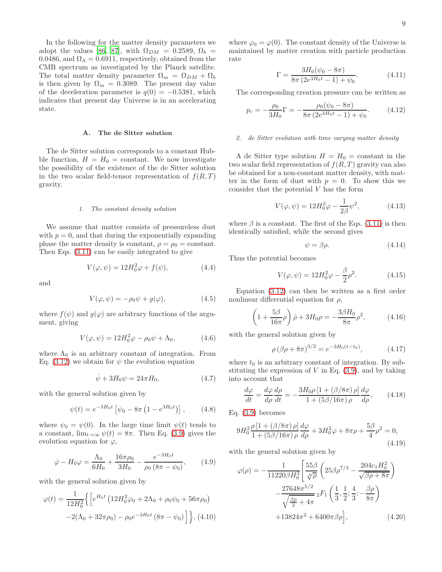In the following for the matter density parameters we adopt the values [\[86](#page-15-16), [87\]](#page-15-17), with  $\Omega_{DM} = 0.2589, \Omega_b =$ 0.0486, and  $\Omega_{\Lambda} = 0.6911$ , respectively, obtained from the CMB spectrum as investigated by the Planck satellite. The total matter density parameter  $\Omega_m = \Omega_{DM} + \Omega_b$ is then given by  $\Omega_m = 0.3089$ . The present day value of the deceleration parameter is  $q(0) = -0.5381$ , which indicates that present day Universe is in an accelerating state.

## A. The de Sitter solution

The de Sitter solution corresponds to a constant Hubble function,  $H = H_0 = constant$ . We now investigate the possibility of the existence of the de Sitter solution in the two scalar field-tensor representation of  $f(R,T)$ gravity.

#### *1. The constant density solution*

We assume that matter consists of pressureless dust with  $p = 0$ , and that during the exponentially expanding phase the matter density is constant,  $\rho = \rho_0 = \text{constant}$ . Then Eqs. [\(3.11\)](#page-4-8) can be easily integrated to give

$$
V(\varphi, \psi) = 12H_0^2 \varphi + f(\psi), \qquad (4.4)
$$

and

$$
V(\varphi, \psi) = -\rho_0 \psi + g(\varphi), \qquad (4.5)
$$

where  $f(\psi)$  and  $g(\varphi)$  are arbitrary functions of the argument, giving

$$
V(\varphi, \psi) = 12H_0^2 \varphi - \rho_0 \psi + \Lambda_0, \qquad (4.6)
$$

where  $\Lambda_0$  is an arbitrary constant of integration. From Eq. [\(3.12\)](#page-4-9) we obtain for  $\psi$  the evolution equation

$$
\dot{\psi} + 3H_0 \psi = 24\pi H_0,\tag{4.7}
$$

with the general solution given by

$$
\psi(t) = e^{-3H_0t} \left[ \psi_0 - 8\pi \left( 1 - e^{3H_0t} \right) \right], \quad (4.8)
$$

where  $\psi_0 = \psi(0)$ . In the large time limit  $\psi(t)$  tends to a constant,  $\lim_{t\to\infty} \psi(t) = 8\pi$ . Then Eq. [\(3.9\)](#page-4-4) gives the evolution equation for  $\varphi$ ,

$$
\dot{\varphi} - H_0 \varphi = \frac{\Lambda_0}{6H_0} + \frac{16\pi\rho_0}{3H_0} - \frac{e^{-3H_0t}}{\rho_0\left(8\pi - \psi_0\right)},\tag{4.9}
$$

with the general solution given by

$$
\varphi(t) = \frac{1}{12H_0^2} \Big\{ \Big[ e^{H_0 t} \left( 12H_0^2 \varphi_0 + 2\Lambda_0 + \rho_0 \psi_0 + 56\pi \rho_0 \right) -2(\Lambda_0 + 32\pi \rho_0) - \rho_0 e^{-3H_0 t} \left( 8\pi - \psi_0 \right) \Big] \Big\}, (4.10)
$$

where  $\varphi_0 = \varphi(0)$ . The constant density of the Universe is maintained by matter creation with particle production rate

$$
\Gamma = \frac{3H_0(\psi_0 - 8\pi)}{8\pi (2e^{3H_0 t} - 1) + \psi_0}.
$$
 (4.11)

The corresponding creation pressure can be written as

$$
p_c = -\frac{\rho_0}{3H_0}\Gamma = -\frac{\rho_0(\psi_0 - 8\pi)}{8\pi (2e^{3H_0 t} - 1) + \psi_0}.
$$
 (4.12)

## *2. de Sitter evolution with time varying matter density*

A de Sitter type solution  $H = H_0 = \text{constant}$  in the two scalar field representation of  $f(R, T)$  gravity can also be obtained for a non-constant matter density, with matter in the form of dust with  $p = 0$ . To show this we consider that the potential  $V$  has the form

$$
V(\varphi, \psi) = 12H_0^2 \varphi - \frac{1}{2\beta} \psi^2, \qquad (4.13)
$$

where  $\beta$  is a constant. The first of the Eqs. [\(3.11\)](#page-4-8) is then identically satisfied, while the second gives

$$
\psi = \beta \rho. \tag{4.14}
$$

Thus the potential becomes

$$
V(\varphi, \psi) = 12H_0^2 \varphi - \frac{\beta}{2}\rho^2.
$$
 (4.15)

Equation [\(3.12\)](#page-4-9) can then be written as a first order nonlinear differential equation for  $\rho$ ,

$$
\left(1 + \frac{5\beta}{16\pi}\rho\right)\dot{\rho} + 3H_0\rho = -\frac{3\beta H_0}{8\pi}\rho^2,\tag{4.16}
$$

with the general solution given by

$$
\rho \left(\beta \rho + 8\pi\right)^{3/2} = e^{-3H_0(t - t_0)},\tag{4.17}
$$

where  $t_0$  is an arbitrary constant of integration. By substituting the expression of  $V$  in Eq.  $(3.9)$ , and by taking into account that

$$
\frac{d\varphi}{dt} = \frac{d\varphi}{d\rho}\frac{d\rho}{dt} = -\frac{3H_0\rho\left[1 + \left(\beta/8\pi\right)\rho\right]}{1 + \left(5\beta/16\pi\right)\rho}\frac{d\varphi}{d\rho},\qquad(4.18)
$$

Eq. [\(3.9\)](#page-4-4) becomes

$$
9H_0^2 \frac{\rho \left[1 + \left(\beta/8\pi\right)\rho\right]}{1 + \left(5\beta/16\pi\right)\rho} \frac{d\varphi}{d\rho} + 3H_0^2 \varphi + 8\pi\rho + \frac{5\beta}{4}\rho^2 = 0,\tag{4.19}
$$

with the general solution given by

$$
\varphi(\rho) = -\frac{1}{11220\beta H_0^2} \left[ \frac{55\beta}{\sqrt[3]{\rho}} \left( 25\beta \rho^{7/3} - \frac{204c_1 H_0^2}{\sqrt{\beta \rho + 8\pi}} \right) -\frac{27648\pi^{5/2}}{\sqrt{\frac{\beta \rho}{2} + 4\pi}} 2F_1 \left( \frac{1}{3}, \frac{1}{2}; \frac{4}{3}; -\frac{\beta \rho}{8\pi} \right) +13824\pi^2 + 6400\pi\beta \rho \right],
$$
\n(4.20)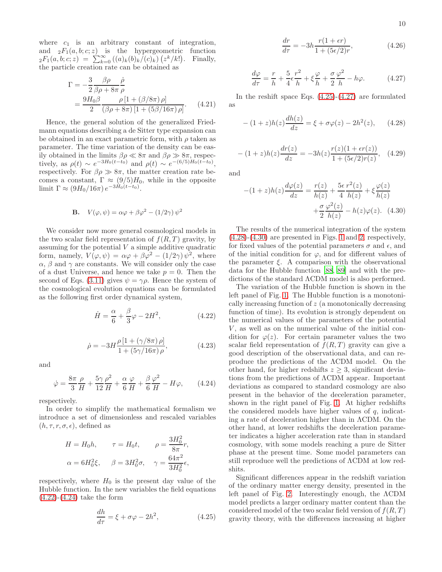where  $c_1$  is an arbitrary constant of integration, and  ${}_2F_1(a, b; c; z)$  is the hypergeometric function  ${}_2F_1(a, b; c; z) = \sum_{k=0}^{\infty} ((a)_k (b)_k/(c)_k) (z^k/k!)$ . Finally, the particle creation rate can be obtained as

$$
\Gamma = -\frac{3}{2} \frac{\beta \rho}{\beta \rho + 8\pi} \frac{\dot{\rho}}{\rho} \n= \frac{9H_0 \beta}{2} \frac{\rho \left[1 + (\beta/8\pi)\rho\right]}{(\beta \rho + 8\pi) \left[1 + (5\beta/16\pi)\rho\right]}.
$$
\n(4.21)

Hence, the general solution of the generalized Friedmann equations describing a de Sitter type expansion can be obtained in an exact parametric form, with  $\rho$  taken as parameter. The time variation of the density can be easily obtained in the limits  $\beta \rho \ll 8\pi$  and  $\beta \rho \gg 8\pi$ , respectively, as  $\rho(t) \sim e^{-3H_0(t-t_0)}$  and  $\rho(t) \sim e^{-(6/5)H_0(t-t_0)}$ , respectively. For  $\beta \rho \gg 8\pi$ , the matter creation rate becomes a constant,  $\Gamma \approx (9/5)H_0$ , while in the opposite limit  $\Gamma \approx (9H_0/16\pi) e^{-3H_0(t-t_0)}$ .

**B.** 
$$
V(\varphi, \psi) = \alpha \varphi + \beta \varphi^2 - (1/2\gamma) \psi^2
$$

We consider now more general cosmological models in the two scalar field representation of  $f(R,T)$  gravity, by assuming for the potential  $V$  a simple additive quadratic form, namely,  $V(\varphi, \psi) = \alpha \varphi + \beta \varphi^2 - (1/2\gamma) \psi^2$ , where  $\alpha$ ,  $\beta$  and  $\gamma$  are constants. We will consider only the case of a dust Universe, and hence we take  $p = 0$ . Then the second of Eqs. [\(3.11\)](#page-4-8) gives  $\psi = \gamma \rho$ . Hence the system of the cosmological evolution equations can be formulated as the following first order dynamical system,

<span id="page-9-0"></span>
$$
\dot{H} = \frac{\alpha}{6} + \frac{\beta}{3}\varphi - 2H^2,\tag{4.22}
$$

$$
\dot{\rho} = -3H \frac{\rho [1 + (\gamma/8\pi)\,\rho]}{1 + (5\gamma/16\pi)\,\rho},\tag{4.23}
$$

and

<span id="page-9-1"></span>
$$
\dot{\varphi} = \frac{8\pi}{3} \frac{\rho}{H} + \frac{5\gamma}{12} \frac{\rho^2}{H} + \frac{\alpha}{6} \frac{\varphi}{H} + \frac{\beta}{6} \frac{\varphi^2}{H} - H\varphi, \qquad (4.24)
$$

respectively.

In order to simplify the mathematical formalism we introduce a set of dimensionless and rescaled variables  $(h, \tau, r, \sigma, \epsilon)$ , defined as

$$
H = H_0 h, \qquad \tau = H_0 t, \qquad \rho = \frac{3H_0^2}{8\pi} r,
$$
  

$$
\alpha = 6H_0^2 \xi, \qquad \beta = 3H_0^2 \sigma, \qquad \gamma = \frac{64\pi^2}{3H_0^2} \epsilon,
$$

respectively, where  $H_0$  is the present day value of the Hubble function. In the new variables the field equations  $(4.22)$ - $(4.24)$  take the form

<span id="page-9-2"></span>
$$
\frac{dh}{d\tau} = \xi + \sigma\varphi - 2h^2,\tag{4.25}
$$

$$
\frac{dr}{d\tau} = -3h \frac{r(1+\epsilon r)}{1 + (5\epsilon/2)r},\tag{4.26}
$$

<span id="page-9-3"></span>
$$
\frac{d\varphi}{d\tau} = \frac{r}{h} + \frac{5}{4}\epsilon \frac{r^2}{h} + \xi \frac{\varphi}{h} + \frac{\sigma}{2} \frac{\varphi^2}{h} - h\varphi.
$$
 (4.27)

In the reshift space Eqs. [\(4.25\)](#page-9-2)-[\(4.27\)](#page-9-3) are formulated as

<span id="page-9-4"></span>
$$
-(1+z)h(z)\frac{dh(z)}{dz} = \xi + \sigma\varphi(z) - 2h^2(z), \qquad (4.28)
$$

$$
-(1+z)h(z)\frac{dr(z)}{dz} = -3h(z)\frac{r(z)(1+\epsilon r(z))}{1+(5\epsilon/2)r(z)},
$$
 (4.29)

and

<span id="page-9-5"></span>
$$
-(1+z)h(z)\frac{d\varphi(z)}{dz} = \frac{r(z)}{h(z)} + \frac{5\epsilon}{4}\frac{r^2(z)}{h(z)} + \xi\frac{\varphi(z)}{h(z)}
$$

$$
+\frac{\sigma}{2}\frac{\varphi^2(z)}{h(z)} - h(z)\varphi(z). \quad (4.30)
$$

The results of the numerical integration of the system [\(4.28\)](#page-9-4)-[\(4.30\)](#page-9-5) are presented in Figs. [1](#page-10-0) and [2,](#page-10-1) respectively, for fixed values of the potential parameters  $\sigma$  and  $\epsilon$ , and of the initial condition for  $\varphi$ , and for different values of the parameter  $\xi$ . A comparison with the observational data for the Hubble function [\[88](#page-15-18), [89\]](#page-15-19) and with the predictions of the standard ΛCDM model is also performed.

The variation of the Hubble function is shown in the left panel of Fig. [1.](#page-10-0) The Hubble function is a monotonically increasing function of z (a monotonically decreasing function of time). Its evolution is strongly dependent on the numerical values of the parameters of the potential  $V$ , as well as on the numerical value of the initial condition for  $\varphi(z)$ . For certain parameter values the two scalar field representation of  $f(R,T)$  gravity can give a good description of the observational data, and can reproduce the predictions of the ΛCDM model. On the other hand, for higher redshifts  $z \geq 3$ , significant deviations from the predictions of ΛCDM appear. Important deviations as compared to standard cosmology are also present in the behavior of the deceleration parameter, shown in the right panel of Fig. [1.](#page-10-0) At higher redshifts the considered models have higher values of  $q$ , indicating a rate of deceleration higher than in ΛCDM. On the other hand, at lower redshifts the deceleration parameter indicates a higher acceleration rate than in standard cosmology, with some models reaching a pure de Sitter phase at the present time. Some model parameters can still reproduce well the predictions of ΛCDM at low redshits.

Significant differences appear in the redshift variation of the ordinary matter energy density, presented in the left panel of Fig. [2.](#page-10-1) Interestingly enough, the ΛCDM model predicts a larger ordinary matter content than the considered model of the two scalar field version of  $f(R, T)$ gravity theory, with the differences increasing at higher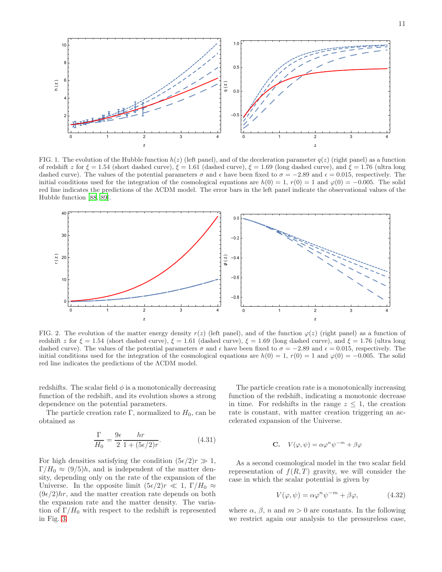

<span id="page-10-0"></span>FIG. 1. The evolution of the Hubble function  $h(z)$  (left panel), and of the deceleration parameter  $q(z)$  (right panel) as a function of redshift z for  $\xi = 1.54$  (short dashed curve),  $\xi = 1.61$  (dashed curve),  $\xi = 1.69$  (long dashed curve), and  $\xi = 1.76$  (ultra long dashed curve). The values of the potential parameters  $\sigma$  and  $\epsilon$  have been fixed to  $\sigma = -2.89$  and  $\epsilon = 0.015$ , respectively. The initial conditions used for the integration of the cosmological equations are  $h(0) = 1$ ,  $r(0) = 1$  and  $\varphi(0) = -0.005$ . The solid red line indicates the predictions of the ΛCDM model. The error bars in the left panel indicate the observational values of the Hubble function [\[88,](#page-15-18) [89\]](#page-15-19).



<span id="page-10-1"></span>FIG. 2. The evolution of the matter energy density  $r(z)$  (left panel), and of the function  $\varphi(z)$  (right panel) as a function of redshift z for  $\xi = 1.54$  (short dashed curve),  $\xi = 1.61$  (dashed curve),  $\xi = 1.69$  (long dashed curve), and  $\xi = 1.76$  (ultra long dashed curve). The values of the potential parameters  $\sigma$  and  $\epsilon$  have been fixed to  $\sigma = -2.89$  and  $\epsilon = 0.015$ , respectively. The initial conditions used for the integration of the cosmological equations are  $h(0) = 1$ ,  $r(0) = 1$  and  $\varphi(0) = -0.005$ . The solid red line indicates the predictions of the ΛCDM model.

redshifts. The scalar field  $\phi$  is a monotonically decreasing function of the redshift, and its evolution shows a strong dependence on the potential parameters.

The particle creation rate Γ, normalized to  $H_0$ , can be obtained as

$$
\frac{\Gamma}{H_0} = \frac{9\epsilon}{2} \frac{hr}{1 + (5\epsilon/2)r}.
$$
 (4.31)

For high densities satisfying the condition  $(5\epsilon/2)r \gg 1$ ,  $\Gamma/H_0 \approx (9/5)h$ , and is independent of the matter density, depending only on the rate of the expansion of the Universe. In the opposite limit  $(5\epsilon/2)r \ll 1$ ,  $\Gamma/H_0 \approx$  $(9e/2)hr$ , and the matter creation rate depends on both the expansion rate and the matter density. The variation of  $\Gamma/H_0$  with respect to the redshift is represented in Fig. [3.](#page-11-0)

The particle creation rate is a monotonically increasing function of the redshift, indicating a monotonic decrease in time. For redshifts in the range  $z \leq 1$ , the creation rate is constant, with matter creation triggering an accelerated expansion of the Universe.

$$
C. \quad V(\varphi, \psi) = \alpha \varphi^{n} \psi^{-m} + \beta \varphi
$$

As a second cosmological model in the two scalar field representation of  $f(R,T)$  gravity, we will consider the case in which the scalar potential is given by

<span id="page-10-2"></span>
$$
V(\varphi, \psi) = \alpha \varphi^n \psi^{-m} + \beta \varphi, \qquad (4.32)
$$

where  $\alpha$ ,  $\beta$ , n and  $m > 0$  are constants. In the following we restrict again our analysis to the pressureless case,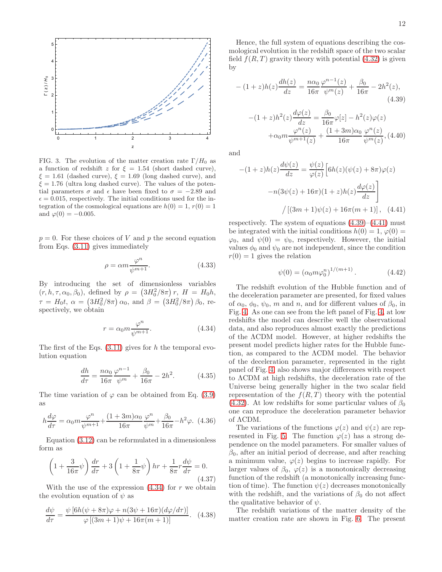

<span id="page-11-0"></span>FIG. 3. The evolution of the matter creation rate  $\Gamma/H_0$  as a function of redshift z for  $\xi = 1.54$  (short dashed curve),  $\xi = 1.61$  (dashed curve),  $\xi = 1.69$  (long dashed curve), and  $\xi = 1.76$  (ultra long dashed curve). The values of the potential parameters  $\sigma$  and  $\epsilon$  have been fixed to  $\sigma = -2.89$  and  $\epsilon = 0.015$ , respectively. The initial conditions used for the integration of the cosmological equations are  $h(0) = 1, r(0) = 1$ and  $\varphi(0) = -0.005$ .

 $p = 0$ . For these choices of V and p the second equation from Eqs. [\(3.11\)](#page-4-8) gives immediately

$$
\rho = \alpha m \frac{\varphi^n}{\psi^{m+1}}.\tag{4.33}
$$

By introducing the set of dimensionless variables  $(r, h, \tau, \alpha_0, \beta_0)$ , defined by  $\rho = (3H_0^2/8\pi) r$ ,  $H = H_0 h$ ,  $\tau = H_0 t, \ \alpha = (3H_0^2/8\pi) \alpha_0$ , and  $\beta = (3H_0^2/8\pi) \beta_0$ , respectively, we obtain

<span id="page-11-1"></span>
$$
r = \alpha_0 m \frac{\varphi^n}{\psi^{m+1}}.
$$
\n(4.34)

The first of the Eqs.  $(3.11)$  gives for h the temporal evolution equation

$$
\frac{dh}{d\tau} = \frac{n\alpha_0}{16\pi} \frac{\varphi^{n-1}}{\psi^m} + \frac{\beta_0}{16\pi} - 2h^2.
$$
 (4.35)

The time variation of  $\varphi$  can be obtained from Eq. [\(3.9\)](#page-4-4) as

$$
h\frac{d\varphi}{d\tau} = \alpha_0 m \frac{\varphi^n}{\psi^{m+1}} + \frac{(1+3m)\alpha_0}{16\pi} \frac{\varphi^n}{\psi^m} + \frac{\beta_0}{16\pi} - h^2 \varphi. \tag{4.36}
$$

Equation [\(3.12\)](#page-4-9) can be reformulated in a dimensionless form as

$$
\left(1+\frac{3}{16\pi}\psi\right)\frac{dr}{d\tau}+3\left(1+\frac{1}{8\pi}\psi\right)hr+\frac{1}{8\pi}r\frac{d\psi}{d\tau}=0.\tag{4.37}
$$

With the use of the expression  $(4.34)$  for r we obtain the evolution equation of  $\psi$  as

$$
\frac{d\psi}{d\tau} = \frac{\psi \left[ 6h(\psi + 8\pi)\varphi + n(3\psi + 16\pi)(d\varphi/d\tau) \right]}{\varphi \left[ (3m + 1)\psi + 16\pi(m + 1) \right]}.
$$
 (4.38)

Hence, the full system of equations describing the cosmological evolution in the redshift space of the two scalar field  $f(R, T)$  gravity theory with potential  $(4.32)$  is given by

<span id="page-11-2"></span>
$$
-(1+z)h(z)\frac{dh(z)}{dz} = \frac{n\alpha_0}{16\pi} \frac{\varphi^{n-1}(z)}{\psi^m(z)} + \frac{\beta_0}{16\pi} - 2h^2(z),\tag{4.39}
$$

$$
-(1+z)h^{2}(z)\frac{d\varphi(z)}{dz} = \frac{\beta_{0}}{16\pi}\varphi[z] - h^{2}(z)\varphi(z)
$$

$$
+ \alpha_{0}m\frac{\varphi^{n}(z)}{\psi^{m+1}(z)} + \frac{(1+3m)\alpha_{0}}{16\pi}\frac{\varphi^{n}(z)}{\psi^{m}(z)}, (4.40)
$$

and

<span id="page-11-3"></span>
$$
-(1+z)h(z)\frac{d\psi(z)}{dz} = \frac{\psi(z)}{\varphi(z)} \Big[ 6h(z)(\psi(z) + 8\pi)\varphi(z)
$$

$$
-n(3\psi(z) + 16\pi)(1+z)h(z)\frac{d\varphi(z)}{dz} \Big]
$$

$$
/ \left[ (3m+1)\psi(z) + 16\pi(m+1) \right], \quad (4.41)
$$

respectively. The system of equations  $(4.39)$ – $(4.41)$  must be integrated with the initial conditions  $h(0) = 1, \varphi(0) =$  $\varphi_0$ , and  $\psi(0) = \psi_0$ , respectively. However, the initial values  $\phi_0$  and  $\psi_0$  are not independent, since the condition  $r(0) = 1$  gives the relation

$$
\psi(0) = (\alpha_0 m \varphi_0^n)^{1/(m+1)}.
$$
\n(4.42)

The redshift evolution of the Hubble function and of the deceleration parameter are presented, for fixed values of  $\alpha_0$ ,  $\phi_0$ ,  $\psi_0$ , m and n, and for different values of  $\beta_0$ , in Fig. [4.](#page-12-1) As one can see from the left panel of Fig. [4,](#page-12-1) at low redshifts the model can describe well the observational data, and also reproduces almost exactly the predictions of the ΛCDM model. However, at higher redshifts the present model predicts higher rates for the Hubble function, as compared to the ΛCDM model. The behavior of the deceleration parameter, represented in the right panel of Fig. [4,](#page-12-1) also shows major differences with respect to ΛCDM at high redshifts, the deceleration rate of the Universe being generally higher in the two scalar field representation of the  $f(R,T)$  theory with the potential [\(4.32\)](#page-10-2). At low redshifts for some particular values of  $\beta_0$ one can reproduce the deceleration parameter behavior of ΛCDM.

The variations of the functions  $\varphi(z)$  and  $\psi(z)$  are rep-resented in Fig. [5.](#page-12-2) The function  $\varphi(z)$  has a strong dependence on the model parameters. For smaller values of  $\beta_0$ , after an initial period of decrease, and after reaching a minimum value,  $\varphi(z)$  begins to increase rapidly. For larger values of  $\beta_0$ ,  $\varphi(z)$  is a monotonically decreasing function of the redshift (a monotonically increasing function of time). The function  $\psi(z)$  decreases monotonically with the redshift, and the variations of  $\beta_0$  do not affect the qualitative behavior of  $\psi$ .

The redshift variations of the matter density of the matter creation rate are shown in Fig. [6.](#page-13-0) The present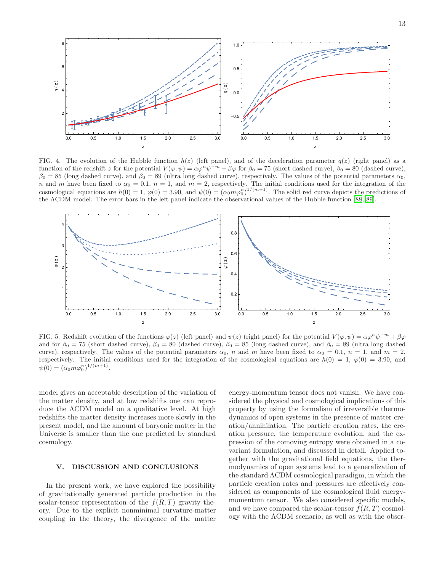

<span id="page-12-1"></span>FIG. 4. The evolution of the Hubble function  $h(z)$  (left panel), and of the deceleration parameter  $q(z)$  (right panel) as a function of the redshift z for the potential  $V(\varphi, \psi) = \alpha \varphi^{n} \psi^{-m} + \beta \varphi$  for  $\beta_0 = 75$  (short dashed curve),  $\beta_0 = 80$  (dashed curve),  $\beta_0 = 85$  (long dashed curve), and  $\beta_0 = 89$  (ultra long dashed curve), respectively. The values of the potential parameters  $\alpha_0$ , n and m have been fixed to  $\alpha_0 = 0.1$ ,  $n = 1$ , and  $m = 2$ , respectively. The initial conditions used for the integration of the cosmological equations are  $h(0) = 1$ ,  $\varphi(0) = 3.90$ , and  $\psi(0) = (\alpha_0 m \varphi_0^n)^{1/(m+1)}$ . The solid red curve depicts the predictions of the ΛCDM model. The error bars in the left panel indicate the observational values of the Hubble function [\[88,](#page-15-18) [89\]](#page-15-19).



<span id="page-12-2"></span>FIG. 5. Redshift evolution of the functions  $\varphi(z)$  (left panel) and  $\psi(z)$  (right panel) for the potential  $V(\varphi, \psi) = \alpha \varphi^{n} \psi^{-m} + \beta \varphi$ and for  $\beta_0 = 75$  (short dashed curve),  $\beta_0 = 80$  (dashed curve),  $\beta_0 = 85$  (long dashed curve), and  $\beta_0 = 89$  (ultra long dashed curve), respectively. The values of the potential parameters  $\alpha_0$ , n and m have been fixed to  $\alpha_0 = 0.1$ ,  $n = 1$ , and  $m = 2$ , respectively. The initial conditions used for the integration of the cosmological equations are  $h(0) = 1$ ,  $\varphi(0) = 3.90$ , and  $\psi(0) = (\alpha_0 m \varphi_0^n)^{1/(m+1)}.$ 

model gives an acceptable description of the variation of the matter density, and at low redshifts one can reproduce the ΛCDM model on a qualitative level. At high redshifts the matter density increases more slowly in the present model, and the amount of baryonic matter in the Universe is smaller than the one predicted by standard cosmology.

## <span id="page-12-0"></span>V. DISCUSSION AND CONCLUSIONS

In the present work, we have explored the possibility of gravitationally generated particle production in the scalar-tensor representation of the  $f(R,T)$  gravity theory. Due to the explicit nonminimal curvature-matter coupling in the theory, the divergence of the matter

energy-momentum tensor does not vanish. We have considered the physical and cosmological implications of this property by using the formalism of irreversible thermodynamics of open systems in the presence of matter creation/annihilation. The particle creation rates, the creation pressure, the temperature evolution, and the expression of the comoving entropy were obtained in a covariant formulation, and discussed in detail. Applied together with the gravitational field equations, the thermodynamics of open systems lead to a generalization of the standard ΛCDM cosmological paradigm, in which the particle creation rates and pressures are effectively considered as components of the cosmological fluid energymomentum tensor. We also considered specific models, and we have compared the scalar-tensor  $f(R, T)$  cosmology with the ΛCDM scenario, as well as with the obser-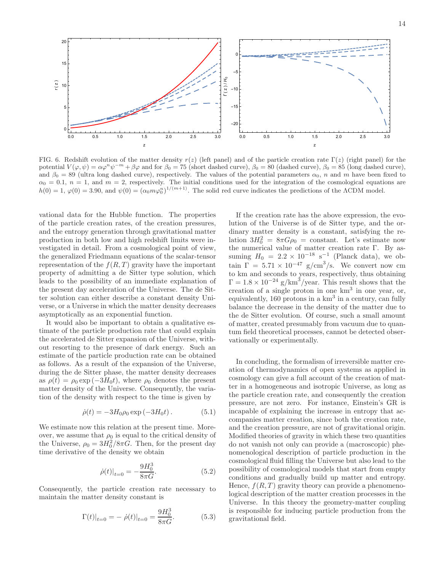

<span id="page-13-0"></span>FIG. 6. Redshift evolution of the matter density  $r(z)$  (left panel) and of the particle creation rate  $\Gamma(z)$  (right panel) for the potential  $V(\varphi, \psi) = \alpha \varphi^{n} \psi^{-m} + \beta \varphi$  and for  $\beta_0 = 75$  (short dashed curve),  $\beta_0 = 80$  (dashed curve),  $\beta_0 = 85$  (long dashed curve), and  $\beta_0 = 89$  (ultra long dashed curve), respectively. The values of the potential parameters  $\alpha_0$ , n and m have been fixed to  $\alpha_0 = 0.1$ ,  $n = 1$ , and  $m = 2$ , respectively. The initial conditions used for the integration of the cosmological equations are  $h(0) = 1, \varphi(0) = 3.90$ , and  $\psi(0) = (\alpha_0 m \varphi_0^n)^{1/(m+1)}$ . The solid red curve indicates the predictions of the ACDM model.

vational data for the Hubble function. The properties of the particle creation rates, of the creation pressures, and the entropy generation through gravitational matter production in both low and high redshift limits were investigated in detail. From a cosmological point of view, the generalized Friedmann equations of the scalar-tensor representation of the  $f(R,T)$  gravity have the important property of admitting a de Sitter type solution, which leads to the possibility of an immediate explanation of the present day acceleration of the Universe. The de Sitter solution can either describe a constant density Universe, or a Universe in which the matter density decreases asymptotically as an exponential function.

It would also be important to obtain a qualitative estimate of the particle production rate that could explain the accelerated de Sitter expansion of the Universe, without resorting to the presence of dark energy. Such an estimate of the particle production rate can be obtained as follows. As a result of the expansion of the Universe, during the de Sitter phase, the matter density decreases as  $\rho(t) = \rho_0 \exp(-3H_0t)$ , where  $\rho_0$  denotes the present matter density of the Universe. Consequently, the variation of the density with respect to the time is given by

$$
\dot{\rho}(t) = -3H_0 \rho_0 \exp(-3H_0 t). \tag{5.1}
$$

We estimate now this relation at the present time. Moreover, we assume that  $\rho_0$  is equal to the critical density of the Universe,  $\rho_0 = 3H_0^2/8\pi G$ . Then, for the present day time derivative of the density we obtain

$$
\dot{\rho}(t)|_{t=0} = -\frac{9H_0^3}{8\pi G}.\tag{5.2}
$$

Consequently, the particle creation rate necessary to maintain the matter density constant is

$$
\Gamma(t)|_{t=0} = -\dot{\rho}(t)|_{t=0} = \frac{9H_0^3}{8\pi G}.
$$
\n(5.3)

If the creation rate has the above expression, the evolution of the Universe is of de Sitter type, and the ordinary matter density is a constant, satisfying the relation  $3H_0^2 = 8\pi G\rho_0 = \text{constant}$ . Let's estimate now the numerical value of matter creation rate Γ. By assuming  $H_0 = 2.2 \times 10^{-18} \text{ s}^{-1}$  (Planck data), we obtain  $\Gamma = 5.71 \times 10^{-47}$  g/cm<sup>3</sup>/s. We convert now cm to km and seconds to years, respectively, thus obtaining  $\Gamma = 1.8 \times 10^{-24} \text{ g/km}^3/\text{year}$ . This result shows that the creation of a single proton in one km<sup>3</sup> in one year, or, equivalently,  $160$  protons in a  $km<sup>3</sup>$  in a century, can fully balance the decrease in the density of the matter due to the de Sitter evolution. Of course, such a small amount of matter, created presumably from vacuum due to quantum field theoretical processes, cannot be detected observationally or experimentally.

In concluding, the formalism of irreversible matter creation of thermodynamics of open systems as applied in cosmology can give a full account of the creation of matter in a homogeneous and isotropic Universe, as long as the particle creation rate, and consequently the creation pressure, are not zero. For instance, Einstein's GR is incapable of explaining the increase in entropy that accompanies matter creation, since both the creation rate, and the creation pressure, are not of gravitational origin. Modified theories of gravity in which these two quantities do not vanish not only can provide a (macroscopic) phenomenological description of particle production in the cosmological fluid filling the Universe but also lead to the possibility of cosmological models that start from empty conditions and gradually build up matter and entropy. Hence,  $f(R,T)$  gravity theory can provide a phenomenological description of the matter creation processes in the Universe. In this theory the geometry-matter coupling is responsible for inducing particle production from the gravitational field.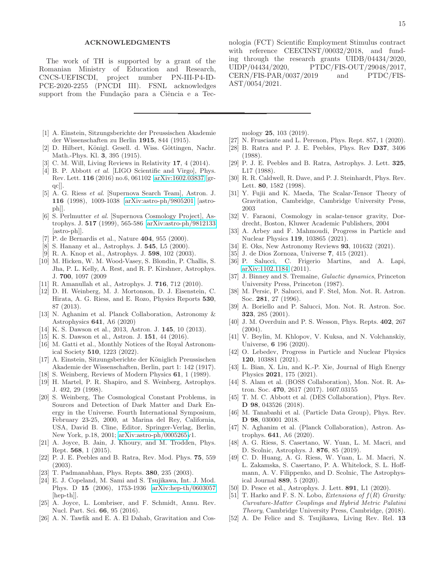## ACKNOWLEDGMENTS

The work of TH is supported by a grant of the Romanian Ministry of Education and Research, CNCS-UEFISCDI, project number PN-III-P4-ID-PCE-2020-2255 (PNCDI III). FSNL acknowledges support from the Fundação para a Ciência e a Tec-

- <span id="page-14-0"></span>[1] A. Einstein, Sitzungsberichte der Preussischen Akademie der Wissenschaften zu Berlin 1915, 844 (1915).
- <span id="page-14-1"></span>[2] D. Hilbert, Königl. Gesell. d. Wiss. Göttingen, Nachr. Math.-Phys. Kl. 3, 395 (1915).
- <span id="page-14-2"></span>[3] C. M. Will, Living Reviews in Relativity 17, 4 (2014).
- <span id="page-14-3"></span>[4] B. P. Abbott *et al.* [LIGO Scientific and Virgo], Phys. Rev. Lett. 116 (2016) no.6, 061102 [\[arXiv:1602.03837](http://arxiv.org/abs/1602.03837) [grqc]].
- <span id="page-14-4"></span>[5] A. G. Riess *et al.* [Supernova Search Team], Astron. J. 116 (1998), 1009-1038 [\[arXiv:astro-ph/9805201](http://arxiv.org/abs/astro-ph/9805201) [astroph]].
- [6] S. Perlmutter *et al.* [Supernova Cosmology Project], Astrophys. J. 517 (1999), 565-586 [\[arXiv:astro-ph/9812133](http://arxiv.org/abs/astro-ph/9812133) [astro-ph]].
- [7] P. de Bernardis et al., Nature 404, 955 (2000).
- [8] S. Hanany et al., Astrophys. J. 545, L5 (2000).
- [9] R. A. Knop et al., Astrophys. J. 598, 102 (2003).
- [10] M. Hicken, W. M. Wood-Vasey, S. Blondin, P. Challis, S. Jha, P. L. Kelly, A. Rest, and R. P. Kirshner, Astrophys. J. 700, 1097 (2009
- <span id="page-14-5"></span>[11] R. Amanullah et al., Astrophys. J. 716, 712 (2010).
- <span id="page-14-6"></span>[12] D. H. Weinberg, M. J. Mortonson, D. J. Eisenstein, C. Hirata, A. G. Riess, and E. Rozo, Physics Reports 530, 87 (2013).
- <span id="page-14-7"></span>[13] N. Aghanim et al. Planck Collaboration, Astronomy & Astrophysics 641, A6 (2020)
- <span id="page-14-8"></span>[14] K. S. Dawson et al., 2013, Astron. J. 145, 10 (2013).
- [15] K. S. Dawson et al., Astron. J. 151, 44 (2016).
- <span id="page-14-9"></span>[16] M. Gatti et al., Monthly Notices of the Royal Astronomical Society 510, 1223 (2022).
- <span id="page-14-10"></span>[17] A. Einstein, Sitzungsberichte der Königlich Preussischen Akademie der Wissenschaften, Berlin, part 1: 142 (1917).
- <span id="page-14-11"></span>[18] S. Weinberg, Reviews of Modern Physics 61, 1 (1989).
- [19] H. Martel, P. R. Shapiro, and S. Weinberg, Astrophys. J. 492, 29 (1998).
- <span id="page-14-12"></span>[20] S. Weinberg, The Cosmological Constant Problems, in Sources and Detection of Dark Matter and Dark Energy in the Universe. Fourth International Symposium, February 23-25, 2000, at Marina del Rey, California, USA, David B. Cline, Editor, Springer-Verlag, Berlin, New York, p.18, 2001; [arXiv:astro-ph/0005265v](http://arxiv.org/abs/astro-ph/0005265)1.
- <span id="page-14-13"></span>[21] A. Joyce, B. Jain, J. Khoury, and M. Trodden, Phys. Rept. 568, 1 (2015).
- [22] P. J. E. Peebles and B. Ratra, Rev. Mod. Phys. 75, 559 (2003).
- [23] T. Padmanabhan, Phys. Repts. **380**, 235 (2003).
- [24] E. J. Copeland, M. Sami and S. Tsujikawa, Int. J. Mod. Phys. D 15 (2006), 1753-1936 [\[arXiv:hep-th/0603057](http://arxiv.org/abs/hep-th/0603057) [hep-th]].
- [25] A. Joyce, L. Lombriser, and F. Schmidt, Annu. Rev. Nucl. Part. Sci. 66, 95 (2016).
- [26] A. N. Tawfik and E. A. El Dahab, Gravitation and Cos-

nologia (FCT) Scientific Employment Stimulus contract with reference CEECINST/00032/2018, and funding through the research grants UIDB/04434/2020, UIDP/04434/2020, PTDC/FIS-OUT/29048/2017, CERN/FIS-PAR/0037/2019 and PTDC/FIS-AST/0054/2021.

mology 25, 103 (2019).

- <span id="page-14-14"></span>[27] N. Frusciante and L. Perenon, Phys. Rept. 857, 1 (2020).
- <span id="page-14-15"></span>[28] B. Ratra and P. J. E. Peebles, Phys. Rev D37, 3406 (1988).
- [29] P. J. E. Peebles and B. Ratra, Astrophys. J. Lett. 325, L17 (1988).
- [30] R. R. Caldwell, R. Dave, and P. J. Steinhardt, Phys. Rev. Lett. 80, 1582 (1998).
- [31] Y. Fujii and K. Maeda, The Scalar-Tensor Theory of Gravitation, Cambridge, Cambridge University Press, 2003
- <span id="page-14-16"></span>[32] V. Faraoni, Cosmology in scalar-tensor gravity, Dordrecht, Boston, Kluwer Academic Publishers, 2004
- <span id="page-14-17"></span>[33] A. Arbey and F. Mahmoudi, Progress in Particle and Nuclear Physics 119, 103865 (2021).
- [34] E. Oks, New Astronomy Reviews 93, 101632 (2021).
- <span id="page-14-18"></span>[35] J. de Dios Zornoza, Universe 7, 415 (2021).
- <span id="page-14-19"></span>[36] P. Salucci, C. Frigerio Martins, and A. Lapi, [arXiv:1102.1184](http://arxiv.org/abs/1102.1184) (2011).
- [37] J. Binney and S. Tremaine, *Galactic dynamics*, Princeton University Press, Princeton (1987).
- [38] M. Persic, P. Salucci, and F. Stel, Mon. Not. R. Astron. Soc. 281, 27 (1996).
- <span id="page-14-20"></span>[39] A. Boriello and P. Salucci, Mon. Not. R. Astron. Soc. 323, 285 (2001).
- <span id="page-14-21"></span>[40] J. M. Overduin and P. S. Wesson, Phys. Repts.  $402$ , 267 (2004).
- [41] V. Beylin, M. Khlopov, V. Kuksa, and N. Volchanskiy, Universe, 6 196 (2020).
- [42] O. Lebedev, Progress in Particle and Nuclear Physics 120, 103881 (2021).
- <span id="page-14-22"></span>[43] L. Bian, X. Liu, and K.-P. Xie, Journal of High Energy Physics 2021, 175 (2021).
- <span id="page-14-23"></span>[44] S. Alam et al. (BOSS Collaboration), Mon. Not. R. Astron. Soc. 470, 2617 (2017). 1607.03155
- [45] T. M. C. Abbott et al. (DES Collaboration), Phys. Rev. D 98, 043526 (2018).
- <span id="page-14-27"></span>[46] M. Tanabashi et al. (Particle Data Group), Phys. Rev. D 98, 030001 2018.
- <span id="page-14-24"></span>[47] N. Aghanim et al. (Planck Collaboration), Astron. Astrophys. 641, A6 (2020).
- <span id="page-14-25"></span>[48] A. G. Riess, S. Casertano, W. Yuan, L. M. Macri, and D. Scolnic, Astrophys. J. 876, 85 (2019).
- [49] C. D. Huang, A. G. Riess, W. Yuan, L. M. Macri, N. L. Zakamska, S. Casertano, P. A. Whitelock, S. L. Hoffmann, A. V. Filippenko, and D. Scolnic, The Astrophysical Journal 889, 5 (2020).
- <span id="page-14-26"></span>[50] D. Pesce et al., Astrophys. J. Lett. 891, L1 (2020).
- <span id="page-14-28"></span>[51] T. Harko and F. S. N. Lobo, *Extensions of* f(R) *Gravity: Curvature-Matter Couplings and Hybrid Metric Palatini Theory*, Cambridge University Press, Cambridge, (2018).
- <span id="page-14-29"></span>[52] A. De Felice and S. Tsujikawa, Living Rev. Rel. 13